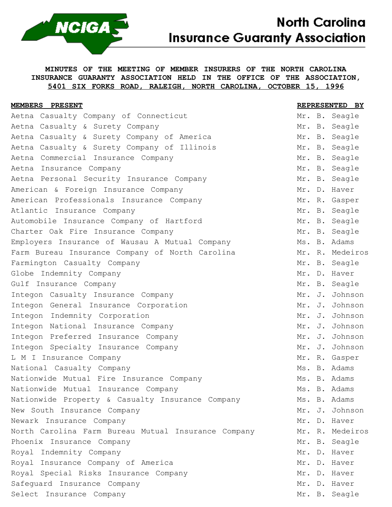

## **North Carolina Insurance Guaranty Association**

**MINUTES OF THE MEETING OF MEMBER INSURERS OF THE NORTH CAROLINA INSURANCE GUARANTY ASSOCIATION HELD IN THE OFFICE OF THE ASSOCIATION, 5401 SIX FORKS ROAD, RALEIGH, NORTH CAROLINA, OCTOBER 15, 1996**

| MEMBERS PRESENT                                     |  | REPRESENTED BY  |
|-----------------------------------------------------|--|-----------------|
| Aetna Casualty Company of Connecticut               |  | Mr. B. Seagle   |
| Aetna Casualty & Surety Company                     |  | Mr. B. Seagle   |
| Aetna Casualty & Surety Company of America          |  | Mr. B. Seagle   |
| Aetna Casualty & Surety Company of Illinois         |  | Mr. B. Seagle   |
| Aetna Commercial Insurance Company                  |  | Mr. B. Seagle   |
| Aetna Insurance Company                             |  | Mr. B. Seagle   |
| Aetna Personal Security Insurance Company           |  | Mr. B. Seagle   |
| American & Foreign Insurance Company                |  | Mr. D. Haver    |
| American Professionals Insurance Company            |  | Mr. R. Gasper   |
| Atlantic Insurance Company                          |  | Mr. B. Seagle   |
| Automobile Insurance Company of Hartford            |  | Mr. B. Seagle   |
| Charter Oak Fire Insurance Company                  |  | Mr. B. Seagle   |
| Employers Insurance of Wausau A Mutual Company      |  | Ms. B. Adams    |
| Farm Bureau Insurance Company of North Carolina     |  | Mr. R. Medeiros |
| Farmington Casualty Company                         |  | Mr. B. Seagle   |
| Globe Indemnity Company                             |  | Mr. D. Haver    |
| Gulf Insurance Company                              |  | Mr. B. Seagle   |
| Integon Casualty Insurance Company                  |  | Mr. J. Johnson  |
| Integon General Insurance Corporation               |  | Mr. J. Johnson  |
| Integon Indemnity Corporation                       |  | Mr. J. Johnson  |
| Integon National Insurance Company                  |  | Mr. J. Johnson  |
| Integon Preferred Insurance Company                 |  | Mr. J. Johnson  |
| Integon Specialty Insurance Company                 |  | Mr. J. Johnson  |
| L M I Insurance Company                             |  | Mr. R. Gasper   |
| National Casualty Company                           |  | Ms. B. Adams    |
| Nationwide Mutual Fire Insurance Company            |  | Ms. B. Adams    |
| Nationwide Mutual Insurance Company                 |  | Ms. B. Adams    |
| Nationwide Property & Casualty Insurance Company    |  | Ms. B. Adams    |
| New South Insurance Company                         |  | Mr. J. Johnson  |
| Newark Insurance Company                            |  | Mr. D. Haver    |
| North Carolina Farm Bureau Mutual Insurance Company |  | Mr. R. Medeiros |
| Phoenix Insurance Company                           |  | Mr. B. Seagle   |
| Royal Indemnity Company                             |  | Mr. D. Haver    |
| Royal Insurance Company of America                  |  | Mr. D. Haver    |
| Royal Special Risks Insurance Company               |  | Mr. D. Haver    |
| Safeguard Insurance Company                         |  | Mr. D. Haver    |
| Select Insurance Company                            |  | Mr. B. Seagle   |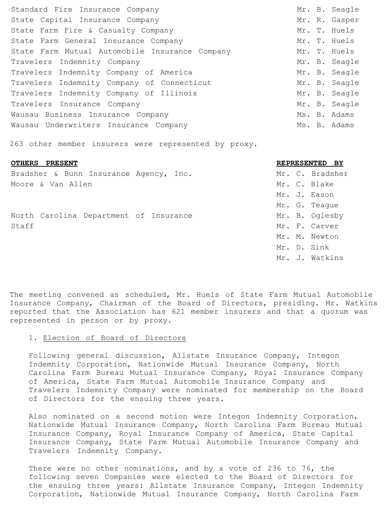| Standard Fire Insurance Company                |  | Mr. B. Seagle |
|------------------------------------------------|--|---------------|
| State Capital Insurance Company                |  | Mr. R. Gasper |
| State Farm Fire & Casualty Company             |  | Mr. T. Huels  |
| State Farm General Insurance Company           |  | Mr. T. Huels  |
| State Farm Mutual Automobile Insurance Company |  | Mr. T. Huels  |
| Travelers Indemnity Company                    |  | Mr. B. Seagle |
| Travelers Indemnity Company of America         |  | Mr. B. Seagle |
| Travelers Indemnity Company of Connecticut     |  | Mr. B. Seagle |
| Travelers Indemnity Company of Illinois        |  | Mr. B. Seagle |
| Travelers Insurance Company                    |  | Mr. B. Seagle |
| Wausau Business Insurance Company              |  | Ms. B. Adams  |
| Wausau Underwriters Insurance Company          |  | Ms. B. Adams  |
|                                                |  |               |

263 other member insurers were represented by proxy.

## **OTHERS PRESENT REPRESENTED BY**

Bradsher & Bunn Insurance Agency, Inc. Moore & Van Allen

North Carolina Department of Insurance Staff Mr. F. Carver

| Mr. | С.             | Bradsher |
|-----|----------------|----------|
| Mr. | $\mathsf{C}$ . | Blake    |
| Mr. | J.             | Eason    |
| Mr. | G.             | Teaque   |
| Mr. | Β.             | Oglesby  |
| Mr. | F.             | Carver   |
| Mr. | Μ.             | Newton   |
| Mr. | D.             | Sink     |
| Mr. | J.             | Watkins  |

The meeting convened as scheduled, Mr. Huels of State Farm Mutual Automobile Insurance Company, Chairman of the Board of Directors, presiding. Mr. Watkins reported that the Association has 621 member insurers and that a quorum was represented in person or by proxy.

## 1. Election of Board of Directors

Following general discussion, Allstate Insurance Company, Integon Indemnity Corporation, Nationwide Mutual Insurance Company, North Carolina Farm Bureau Mutual Insurance Company, Royal Insurance Company of America, State Farm Mutual Automobile Insurance Company and Travelers Indemnity Company were nominated for membership on the Board of Directors for the ensuing three years.

Also nominated on a second motion were Integon Indemnity Corporation, Nationwide Mutual Insurance Company, North Carolina Farm Bureau Mutual Insurance Company, Royal Insurance Company of America, State Capital Insurance Company, State Farm Mutual Automobile Insurance Company and Travelers Indemnity Company.

There were no other nominations, and by a vote of 236 to 76, the following seven Companies were elected to the Board of Directors for the ensuing three years: Allstate Insurance Company, Integon Indemnity Corporation, Nationwide Mutual Insurance Company, North Carolina Farm